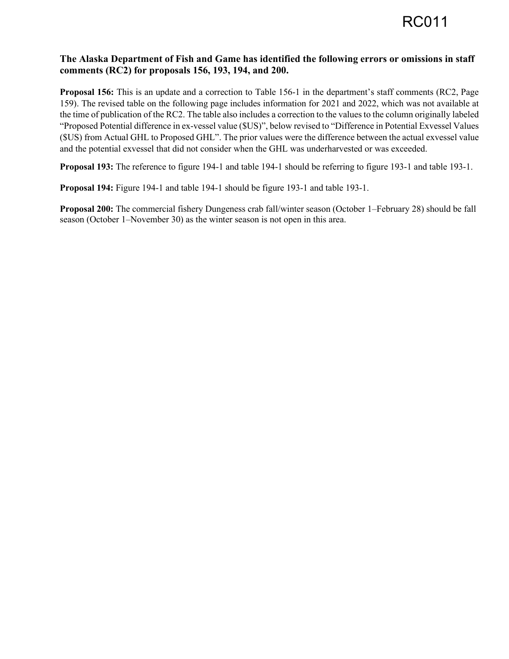## **The Alaska Department of Fish and Game has identified the following errors or omissions in staff comments (RC2) for proposals 156, 193, 194, and 200.**

**Proposal 156:** This is an update and a correction to Table 156-1 in the department's staff comments (RC2, Page 159). The revised table on the following page includes information for 2021 and 2022, which was not available at the time of publication of the RC2. The table also includes a correction to the values to the column originally labeled "Proposed Potential difference in ex-vessel value (\$US)", below revised to "Difference in Potential Exvessel Values (\$US) from Actual GHL to Proposed GHL". The prior values were the difference between the actual exvessel value and the potential exvessel that did not consider when the GHL was underharvested or was exceeded.

**Proposal 193:** The reference to figure 194-1 and table 194-1 should be referring to figure 193-1 and table 193-1.

**Proposal 194:** Figure 194-1 and table 194-1 should be figure 193-1 and table 193-1.

**Proposal 200:** The commercial fishery Dungeness crab fall/winter season (October 1–February 28) should be fall season (October 1–November 30) as the winter season is not open in this area.